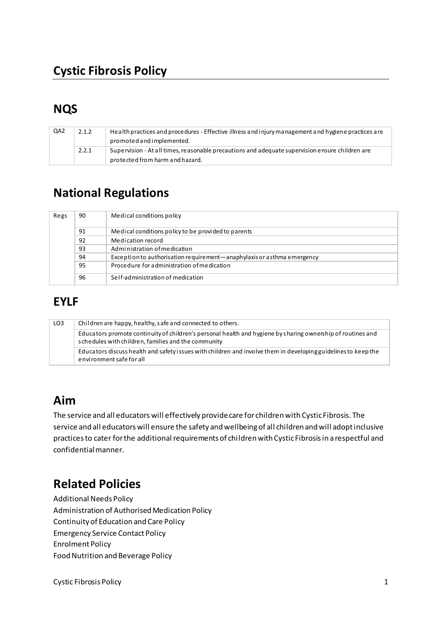# **Cystic Fibrosis Policy**

# **NQS**

| QA2 | 2.1.2 | Health practices and procedures - Effective illness and injury management and hygiene practices are<br>promoted and implemented.   |
|-----|-------|------------------------------------------------------------------------------------------------------------------------------------|
|     | 2.2.1 | Supervision - At all times, reasonable precautions and adequate supervision ensure children are<br>protected from harm and hazard. |

# **National Regulations**

| Regs | 90 | Medical conditions policy                                               |
|------|----|-------------------------------------------------------------------------|
|      | 91 | Medical conditions policy to be provided to parents                     |
|      | 92 | Medication record                                                       |
|      | 93 | Administration of medication                                            |
|      | 94 | Exception to authorisation requirement—anaphylaxis or a sthma emergency |
|      | 95 | Procedure for administration of medication                              |
|      | 96 | Self-administration of medication                                       |

# **EYLF**

| LO <sub>3</sub> | Children are happy, healthy, safe and connected to others.                                                                                                         |
|-----------------|--------------------------------------------------------------------------------------------------------------------------------------------------------------------|
|                 | Educators promote continuity of children's personal health and hygiene by sharing ownership of routines and<br>schedules with children, families and the community |
|                 | Educators discuss health and safety issues with children and involve them in developing guidelines to keep the<br>environment safe for all                         |

## **Aim**

The service and all educators will effectively provide care for children with Cystic Fibrosis. The service and all educators will ensure the safety and wellbeing of all children and will adopt inclusive practices to cater for the additional requirements of children with Cystic Fibrosis in a respectful and confidential manner.

# **Related Policies**

Additional Needs Policy Administration of Authorised Medication Policy Continuity of Education and Care Policy Emergency Service Contact Policy Enrolment Policy Food Nutrition and Beverage Policy

Cystic Fibrosis Policy 2012 12:30 12:30 12:30 12:30 12:30 12:30 12:30 12:30 12:30 12:30 12:30 12:30 12:30 12:30 12:30 12:30 12:30 12:30 12:30 12:30 12:30 12:30 12:30 12:30 12:30 12:30 12:30 12:30 12:30 12:30 12:30 12:30 12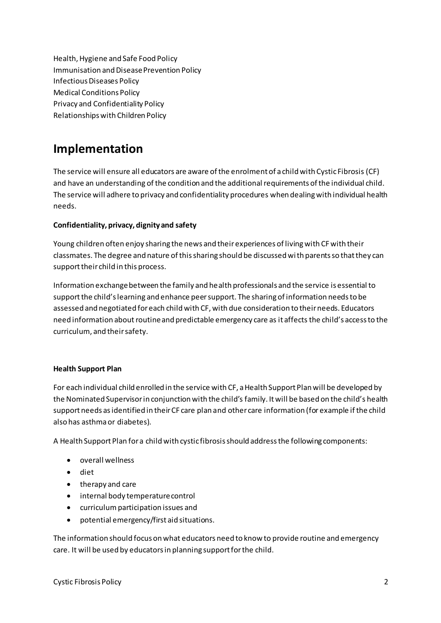Health, Hygiene and Safe Food Policy Immunisation and Disease Prevention Policy **Infectious Diseases Policy Medical Conditions Policy Privacy and Confidentiality Policy** Relationships with Children Policy

## Implementation

The service will ensure all educators are aware of the enrolment of a child with Cystic Fibrosis (CF) and have an understanding of the condition and the additional requirements of the individual child. The service will adhere to privacy and confidentiality procedures when dealing with individual health needs.

#### Confidentiality, privacy, dignity and safety

Young children often enjoy sharing the news and their experiences of living with CF with their classmates. The degree and nature of this sharing should be discussed with parents so that they can support their child in this process.

Information exchange between the family and health professionals and the service is essential to support the child's learning and enhance peer support. The sharing of information needs to be assessed and negotiated for each child with CF, with due consideration to their needs. Educators need information about routine and predictable emergency care as it affects the child's access to the curriculum, and their safety.

#### **Health Support Plan**

For each individual child enrolled in the service with CF, a Health Support Plan will be developed by the Nominated Supervisor in conjunction with the child's family. It will be based on the child's health support needs as identified in their CF care plan and other care information (for example if the child also has asthma or diabetes).

A Health Support Plan for a child with cystic fibrosis should address the following components:

- overall wellness
- $\bullet$  diet
- therapy and care
- internal body temperature control
- curriculum participation issues and
- potential emergency/first aid situations.  $\bullet$

The information should focus on what educators need to know to provide routine and emergency care. It will be used by educators in planning support for the child.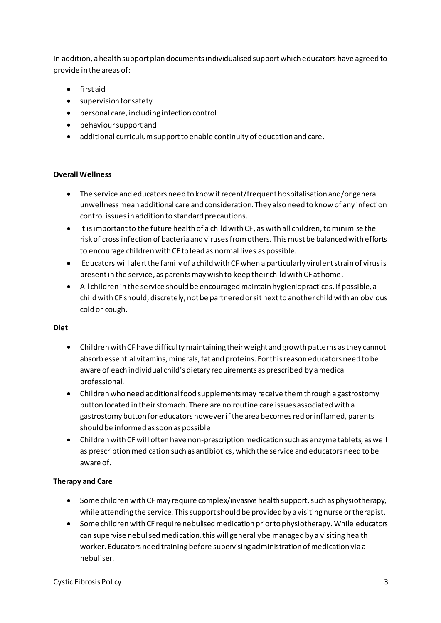In addition, a health support plan documents individualised support which educators have agreed to provide in the areas of:

- first aid
- supervision for safety
- personal care, including infection control
- behaviour support and
- additional curriculum support to enable continuity of education and care.

### **Overall Wellness**

- The service and educators need to know if recent/frequent hospitalisation and/or general unwellness mean additional care and consideration. They also need to know of any infection control issues in addition to standard precautions.
- It is important to the future health of a child with CF, as with all children, to minimise the risk of cross infection of bacteria and viruses from others. This must be balanced with efforts to encourage children with CF to lead as normal lives as possible.
- Educators will alert the family of a child with CF when a particularly virulent strain of virus is present in the service, as parents may wish to keep their child with CF at home.
- All children in the service should be encouraged maintain hygienic practices. If possible, a child with CF should, discretely, not be partnered or sit next to another child with an obvious cold or cough.

#### **Diet**

- Children with CF have difficulty maintaining their weight and growth patterns as they cannot absorb essential vitamins, minerals, fat and proteins. For this reason educators need to be aware of each individual child's dietary requirements as prescribed by a medical professional.
- Children who need additional food supplements may receive them through a gastrostomy button located in their stomach. There are no routine care issues associated with a gastrostomy button for educators however if the area becomes red or inflamed, parents should be informed as soon as possible
- Children with CF will often have non-prescription medication such as enzyme tablets, as well as prescription medication such as antibiotics, which the service and educators need to be aware of.

### **Therapy and Care**

- Some children with CF may require complex/invasive health support, such as physiotherapy, while attending the service. This support should be provided by a visiting nurse or therapist.
- Some children with CF require nebulised medication prior to physiotherapy. While educators can supervise nebulised medication, this will generally be managed by a visiting health worker. Educators need training before supervising administration of medication via a nebuliser.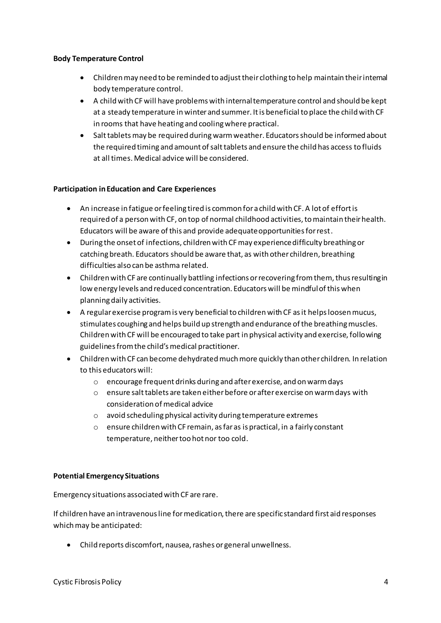#### **Body Temperature Control**

- Children may need to be reminded to adjust their clothing to help maintain their internal body temperature control.
- A child with CF will have problems with internal temperature control and should be kept at a steady temperature in winter and summer. It is beneficial to place the child with CF in rooms that have heating and cooling where practical.
- Salt tablets may be required during warm weather. Educators should be informed about the required timing and amount of salt tablets and ensure the child has access to fluids at all times. Medical advice will be considered.

#### **Participation in Education and Care Experiences**

- An increase in fatigue or feeling tired is common for a child with CF. A lot of effort is required of a person with CF, on top of normal childhood activities, to maintain their health. Educators will be aware of this and provide adequate opportunities for rest.
- During the onset of infections, children with CF may experience difficulty breathing or catching breath. Educators should be aware that, as with other children, breathing difficulties also can be asthma related.
- Children with CF are continually battling infections or recovering from them, thus resulting in low energy levels and reduced concentration. Educators will be mindful of this when planning daily activities.
- A regular exercise program is very beneficial to children with CF as it helps loosen mucus, stimulates coughing and helps build up strength and endurance of the breathing muscles. Children with CF will be encouraged to take part in physical activity and exercise, following guidelines from the child's medical practitioner.
- Children with CF can become dehydrated much more quickly than other children. In relation to this educators will:
	- o encourage frequent drinks during and after exercise, and on warm days
	- o ensure salt tablets are taken either before or after exercise on warm days with consideration of medical advice
	- o avoid scheduling physical activity during temperature extremes
	- o ensure children with CF remain, as far as is practical, in a fairly constant temperature, neither too hot nor too cold.

#### **Potential Emergency Situations**

Emergency situations associated with CF are rare.

If children have an intravenous line for medication, there are specific standard first aid responses which may be anticipated:

• Child reports discomfort, nausea, rashes or general unwellness.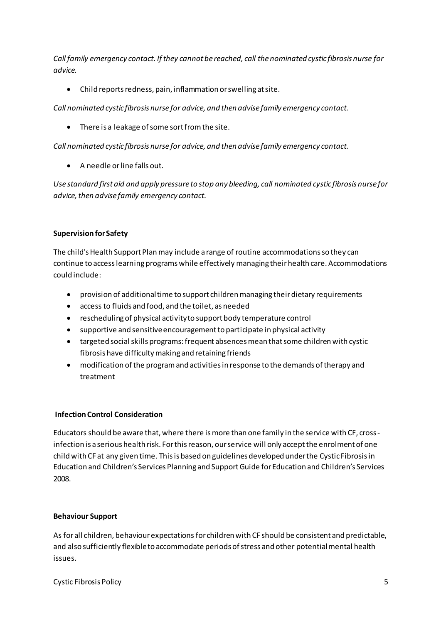*Call family emergency contact. If they cannot be reached, call the nominated cystic fibrosis nurse for advice.* 

• Child reports redness, pain, inflammation or swelling at site.

*Call nominated cystic fibrosis nurse for advice, and then advise family emergency contact.* 

• There is a leakage of some sort from the site.

*Call nominated cystic fibrosis nurse for advice, and then advise family emergency contact.* 

• A needle or line falls out.

*Use standard first aid and apply pressure to stop any bleeding, call nominated cystic fibrosis nurse for advice, then advise family emergency contact.* 

### **Supervision for Safety**

The child's Health Support Plan may include a range of routine accommodations so they can continue to access learning programs while effectively managing their health care. Accommodations could include:

- provision of additional time to support children managing their dietary requirements
- access to fluids and food, and the toilet, as needed
- rescheduling of physical activity to support body temperature control
- supportive and sensitive encouragement to participate in physical activity
- targeted social skills programs: frequent absences mean that some children with cystic fibrosis have difficulty making and retaining friends
- modification of the program and activities in response to the demands of therapy and treatment

### **Infection Control Consideration**

Educators should be aware that, where there is more than one family in the service with CF, cross infection is a serious health risk. For this reason, our service will only accept the enrolment of one child with CF at any given time. This is based on guidelines developed under the Cystic Fibrosis in Education and Children's Services Planning and Support Guide for Education and Children's Services 2008.

#### **Behaviour Support**

As for all children, behaviour expectations for children with CF should be consistent and predictable, and also sufficiently flexible to accommodate periods of stress and other potential mental health issues.